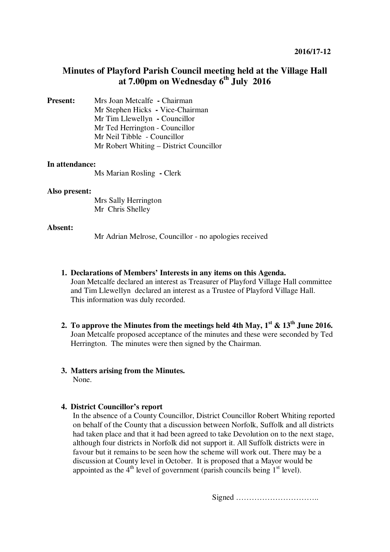# **Minutes of Playford Parish Council meeting held at the Village Hall at 7.00pm on Wednesday 6th July 2016**

**Present:** Mrs Joan Metcalfe **- Chairman** Mr Stephen Hicks **-** Vice-Chairman Mr Tim Llewellyn **-** Councillor Mr Ted Herrington - Councillor Mr Neil Tibble - Councillor Mr Robert Whiting – District Councillor

#### **In attendance:**

Ms Marian Rosling **-** Clerk

#### **Also present:**

 Mrs Sally Herrington Mr Chris Shelley

#### **Absent:**

Mr Adrian Melrose, Councillor - no apologies received

- **1. Declarations of Members' Interests in any items on this Agenda.**  Joan Metcalfe declared an interest as Treasurer of Playford Village Hall committee and Tim Llewellyn declared an interest as a Trustee of Playford Village Hall. This information was duly recorded.
- **2.** To approve the Minutes from the meetings held 4th May,  $1<sup>st</sup>$  &  $13<sup>th</sup>$  June 2016. Joan Metcalfe proposed acceptance of the minutes and these were seconded by Ted Herrington. The minutes were then signed by the Chairman.
- **3. Matters arising from the Minutes.**  None.

## **4. District Councillor's report**

In the absence of a County Councillor, District Councillor Robert Whiting reported on behalf of the County that a discussion between Norfolk, Suffolk and all districts had taken place and that it had been agreed to take Devolution on to the next stage, although four districts in Norfolk did not support it. All Suffolk districts were in favour but it remains to be seen how the scheme will work out. There may be a discussion at County level in October. It is proposed that a Mayor would be appointed as the  $4<sup>th</sup>$  level of government (parish councils being  $1<sup>st</sup>$  level).

Signed …………………………..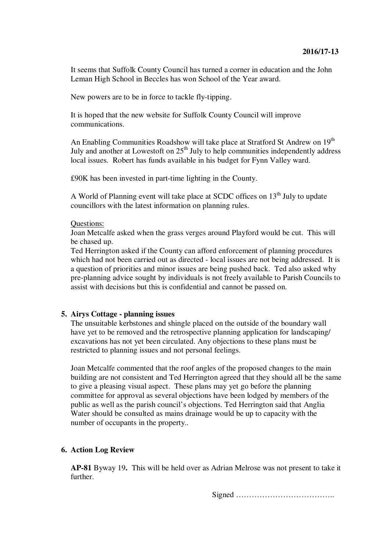It seems that Suffolk County Council has turned a corner in education and the John Leman High School in Beccles has won School of the Year award.

New powers are to be in force to tackle fly-tipping.

It is hoped that the new website for Suffolk County Council will improve communications.

An Enabling Communities Roadshow will take place at Stratford St Andrew on 19<sup>th</sup> July and another at Lowestoft on  $25<sup>th</sup>$  July to help communities independently address local issues. Robert has funds available in his budget for Fynn Valley ward.

£90K has been invested in part-time lighting in the County.

A World of Planning event will take place at SCDC offices on  $13<sup>th</sup>$  July to update councillors with the latest information on planning rules.

#### Questions:

Joan Metcalfe asked when the grass verges around Playford would be cut. This will be chased up.

Ted Herrington asked if the County can afford enforcement of planning procedures which had not been carried out as directed - local issues are not being addressed. It is a question of priorities and minor issues are being pushed back. Ted also asked why pre-planning advice sought by individuals is not freely available to Parish Councils to assist with decisions but this is confidential and cannot be passed on.

## **5. Airys Cottage - planning issues**

The unsuitable kerbstones and shingle placed on the outside of the boundary wall have yet to be removed and the retrospective planning application for landscaping/ excavations has not yet been circulated. Any objections to these plans must be restricted to planning issues and not personal feelings.

Joan Metcalfe commented that the roof angles of the proposed changes to the main building are not consistent and Ted Herrington agreed that they should all be the same to give a pleasing visual aspect. These plans may yet go before the planning committee for approval as several objections have been lodged by members of the public as well as the parish council's objections. Ted Herrington said that Anglia Water should be consulted as mains drainage would be up to capacity with the number of occupants in the property..

## **6. Action Log Review**

**AP-81** Byway 19**.** This will be held over as Adrian Melrose was not present to take it further.

Signed ………………………………..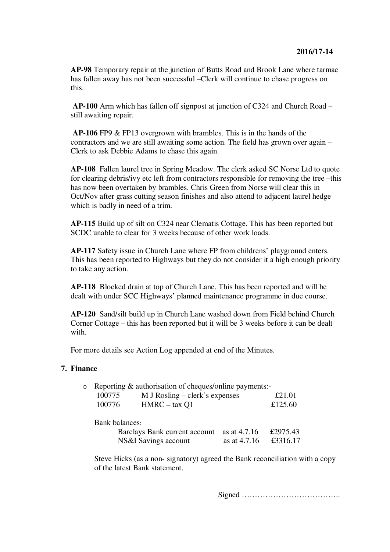**AP-98** Temporary repair at the junction of Butts Road and Brook Lane where tarmac has fallen away has not been successful –Clerk will continue to chase progress on this.

 **AP-100** Arm which has fallen off signpost at junction of C324 and Church Road – still awaiting repair.

 **AP-106** FP9 & FP13 overgrown with brambles. This is in the hands of the contractors and we are still awaiting some action. The field has grown over again – Clerk to ask Debbie Adams to chase this again.

**AP-108** Fallen laurel tree in Spring Meadow. The clerk asked SC Norse Ltd to quote for clearing debris/ivy etc left from contractors responsible for removing the tree –this has now been overtaken by brambles. Chris Green from Norse will clear this in Oct/Nov after grass cutting season finishes and also attend to adjacent laurel hedge which is badly in need of a trim.

**AP-115** Build up of silt on C324 near Clematis Cottage. This has been reported but SCDC unable to clear for 3 weeks because of other work loads.

**AP-117** Safety issue in Church Lane where FP from childrens' playground enters. This has been reported to Highways but they do not consider it a high enough priority to take any action.

**AP-118** Blocked drain at top of Church Lane. This has been reported and will be dealt with under SCC Highways' planned maintenance programme in due course.

**AP-120** Sand/silt build up in Church Lane washed down from Field behind Church Corner Cottage – this has been reported but it will be 3 weeks before it can be dealt with.

For more details see Action Log appended at end of the Minutes.

## **7. Finance**

| o Reporting & authorisation of cheques/online payments:- |                                  |         |
|----------------------------------------------------------|----------------------------------|---------|
| 100775                                                   | $M$ J Rosling – clerk's expenses | £21.01  |
| 100776                                                   | $HMRC - tax O1$                  | £125.60 |
|                                                          |                                  |         |

Bank balances:

| Barclays Bank current account as at 4.7.16 |                         | £2975.43 |
|--------------------------------------------|-------------------------|----------|
| NS&I Savings account                       | as at $4.7.16$ £3316.17 |          |

Steve Hicks (as a non- signatory) agreed the Bank reconciliation with a copy of the latest Bank statement.

Signed ………………………………..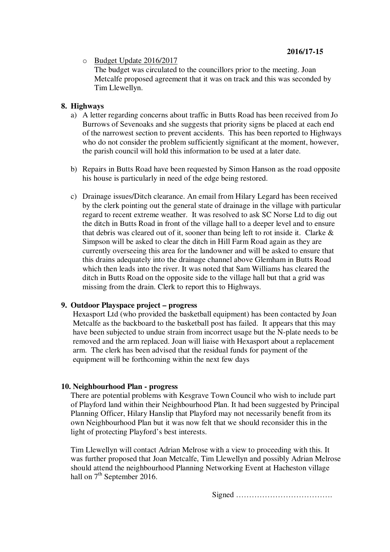## **2016/17-15**

o Budget Update 2016/2017

The budget was circulated to the councillors prior to the meeting. Joan Metcalfe proposed agreement that it was on track and this was seconded by Tim Llewellyn.

## **8. Highways**

- a) A letter regarding concerns about traffic in Butts Road has been received from Jo Burrows of Sevenoaks and she suggests that priority signs be placed at each end of the narrowest section to prevent accidents. This has been reported to Highways who do not consider the problem sufficiently significant at the moment, however, the parish council will hold this information to be used at a later date.
- b) Repairs in Butts Road have been requested by Simon Hanson as the road opposite his house is particularly in need of the edge being restored.
- c) Drainage issues/Ditch clearance. An email from Hilary Legard has been received by the clerk pointing out the general state of drainage in the village with particular regard to recent extreme weather. It was resolved to ask SC Norse Ltd to dig out the ditch in Butts Road in front of the village hall to a deeper level and to ensure that debris was cleared out of it, sooner than being left to rot inside it. Clarke & Simpson will be asked to clear the ditch in Hill Farm Road again as they are currently overseeing this area for the landowner and will be asked to ensure that this drains adequately into the drainage channel above Glemham in Butts Road which then leads into the river. It was noted that Sam Williams has cleared the ditch in Butts Road on the opposite side to the village hall but that a grid was missing from the drain. Clerk to report this to Highways.

## **9. Outdoor Playspace project – progress**

Hexasport Ltd (who provided the basketball equipment) has been contacted by Joan Metcalfe as the backboard to the basketball post has failed. It appears that this may have been subjected to undue strain from incorrect usage but the N-plate needs to be removed and the arm replaced. Joan will liaise with Hexasport about a replacement arm. The clerk has been advised that the residual funds for payment of the equipment will be forthcoming within the next few days

## **10. Neighbourhood Plan - progress**

There are potential problems with Kesgrave Town Council who wish to include part of Playford land within their Neighbourhood Plan. It had been suggested by Principal Planning Officer, Hilary Hanslip that Playford may not necessarily benefit from its own Neighbourhood Plan but it was now felt that we should reconsider this in the light of protecting Playford's best interests.

Tim Llewellyn will contact Adrian Melrose with a view to proceeding with this. It was further proposed that Joan Metcalfe, Tim Llewellyn and possibly Adrian Melrose should attend the neighbourhood Planning Networking Event at Hacheston village hall on  $7<sup>th</sup>$  September 2016.

Signed ……………………………….